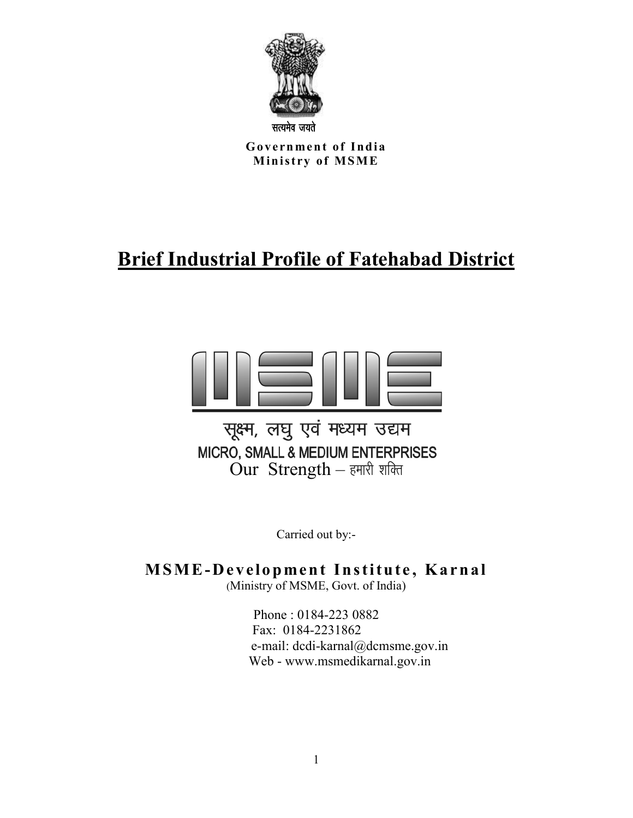

Government of India **Ministry of MSME** 

# **Brief Industrial Profile of Fatehabad District**



Carried out by:-

**MSME-Development Institute, Karnal** 

(Ministry of MSME, Govt. of India)

Phone : 0184-223 0882 Fax: 0184-2231862 e-mail: dcdi-karnal@dcmsme.gov.in Web - www.msmedikarnal.gov.in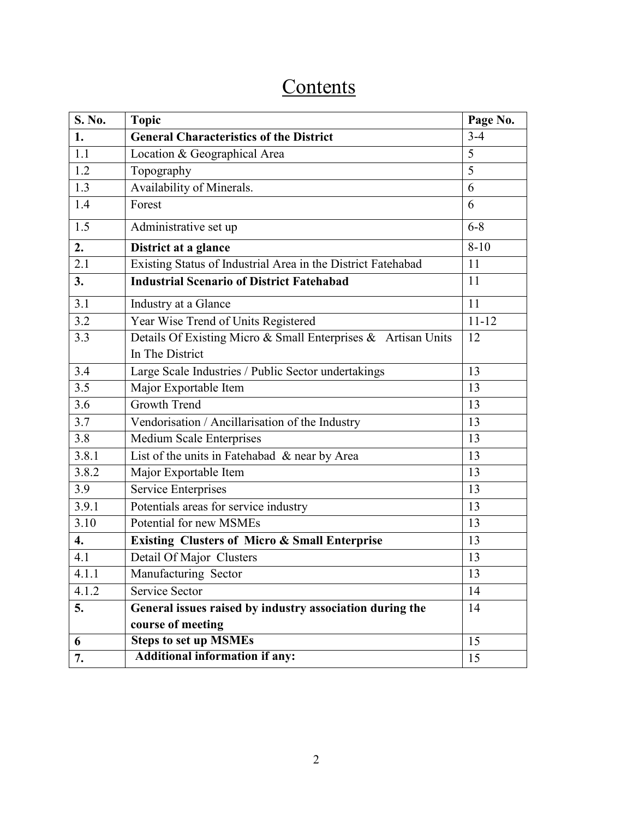# **Contents**

| S. No. | <b>Topic</b>                                                  | Page No.  |
|--------|---------------------------------------------------------------|-----------|
| 1.     | <b>General Characteristics of the District</b>                | $3 - 4$   |
| 1.1    | Location & Geographical Area                                  | 5         |
| 1.2    | Topography                                                    | 5         |
| 1.3    | Availability of Minerals.                                     | 6         |
| 1.4    | Forest                                                        | 6         |
| 1.5    | Administrative set up                                         | $6 - 8$   |
| 2.     | District at a glance                                          | $8 - 10$  |
| 2.1    | Existing Status of Industrial Area in the District Fatehabad  | 11        |
| 3.     | <b>Industrial Scenario of District Fatehabad</b>              | 11        |
| 3.1    | Industry at a Glance                                          | 11        |
| 3.2    | Year Wise Trend of Units Registered                           | $11 - 12$ |
| 3.3    | Details Of Existing Micro & Small Enterprises & Artisan Units | 12        |
|        | In The District                                               |           |
| 3.4    | Large Scale Industries / Public Sector undertakings           | 13        |
| 3.5    | Major Exportable Item                                         | 13        |
| 3.6    | Growth Trend                                                  | 13        |
| 3.7    | Vendorisation / Ancillarisation of the Industry               | 13        |
| 3.8    | Medium Scale Enterprises                                      | 13        |
| 3.8.1  | List of the units in Fatehabad & near by Area                 | 13        |
| 3.8.2  | Major Exportable Item                                         | 13        |
| 3.9    | Service Enterprises                                           | 13        |
| 3.9.1  | Potentials areas for service industry                         | 13        |
| 3.10   | Potential for new MSMEs                                       | 13        |
| 4.     | <b>Existing Clusters of Micro &amp; Small Enterprise</b>      | 13        |
| 4.1    | Detail Of Major Clusters                                      | 13        |
| 4.1.1  | Manufacturing Sector                                          | 13        |
| 4.1.2  | Service Sector                                                | 14        |
| 5.     | General issues raised by industry association during the      | 14        |
|        | course of meeting                                             |           |
| 6      | <b>Steps to set up MSMEs</b>                                  | 15        |
| 7.     | <b>Additional information if any:</b>                         | 15        |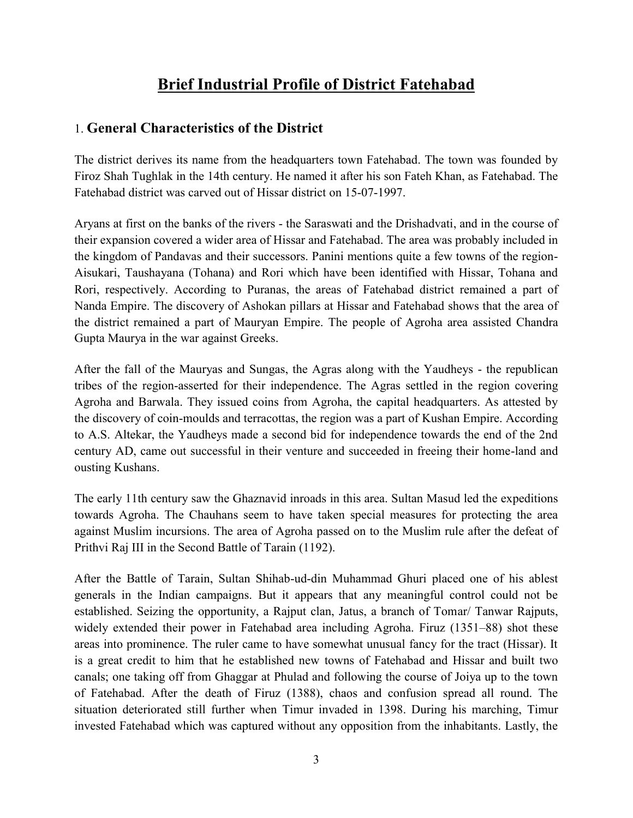# **Brief Industrial Profile of District Fatehabad**

## 1. **General Characteristics of the District**

The district derives its name from the headquarters town Fatehabad. The town was founded by Firoz Shah Tughlak in the 14th century. He named it after his son Fateh Khan, as Fatehabad. The Fatehabad district was carved out of Hissar district on 15-07-1997.

Aryans at first on the banks of the rivers - the Saraswati and the Drishadvati, and in the course of their expansion covered a wider area of Hissar and Fatehabad. The area was probably included in the kingdom of Pandavas and their successors. Panini mentions quite a few towns of the region-Aisukari, Taushayana (Tohana) and Rori which have been identified with Hissar, Tohana and Rori, respectively. According to Puranas, the areas of Fatehabad district remained a part of [Nanda Empire.](http://en.wikipedia.org/wiki/Nanda_Empire) The discovery of [Ashokan](http://en.wikipedia.org/wiki/Ashoka) pillars at Hissar and Fatehabad shows that the area of the district remained a part of Mauryan Empire. The people of Agroha area assisted [Chandra](http://en.wikipedia.org/wiki/Chandra_Gupta_Maurya)  [Gupta Maurya](http://en.wikipedia.org/wiki/Chandra_Gupta_Maurya) in the war against Greeks.

After the fall of the Mauryas and [Sungas,](http://en.wikipedia.org/wiki/Sungas) the Agras along with the Yaudheys - the republican tribes of the region-asserted for their independence. The Agras settled in the region covering Agroha and Barwala. They issued coins from Agroha, the capital headquarters. As attested by the discovery of coin-moulds and terracottas, the region was a part of [Kushan Empire.](http://en.wikipedia.org/wiki/Kushan_empire) According to A.S. Altekar, the Yaudheys made a second bid for independence towards the end of the 2nd century AD, came out successful in their venture and succeeded in freeing their home-land and ousting Kushans.

The early 11th century saw the Ghaznavid inroads in this area. Sultan Masud led the expeditions towards Agroha. The [Chauhans](http://en.wikipedia.org/wiki/Chauhan) seem to have taken special measures for protecting the area against Muslim incursions. The area of Agroha passed on to the Muslim rule after the defeat of [Prithvi Raj III](http://en.wikipedia.org/w/index.php?title=Prithvi_Raj_III&action=edit&redlink=1) in the Second Battle of Tarain (1192).

After the Battle of Tarain, Sultan Shihab-ud-din Muhammad Ghuri placed one of his ablest generals in the Indian campaigns. But it appears that any meaningful control could not be established. Seizing the opportunity, a Rajput clan, Jatus, a branch of Tomar/ Tanwar Rajputs, widely extended their power in Fatehabad area including Agroha. Firuz (1351–88) shot these areas into prominence. The ruler came to have somewhat unusual fancy for the tract (Hissar). It is a great credit to him that he established new towns of Fatehabad and Hissar and built two canals; one taking off from Ghaggar at Phulad and following the course of Joiya up to the town of Fatehabad. After the death of Firuz (1388), chaos and confusion spread all round. The situation deteriorated still further when Timur invaded in 1398. During his marching, [Timur](http://en.wikipedia.org/wiki/Timur) invested Fatehabad which was captured without any opposition from the inhabitants. Lastly, the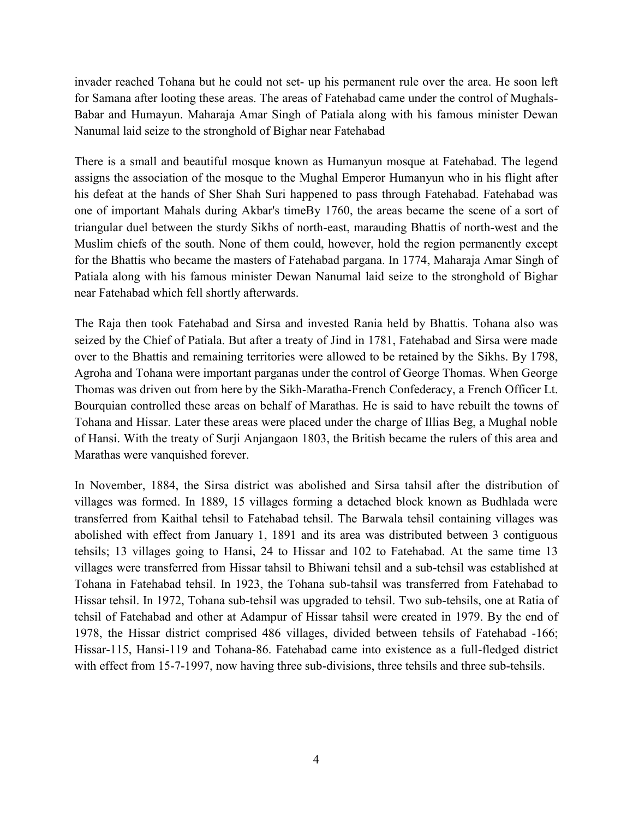invader reached Tohana but he could not set- up his permanent rule over the area. He soon left for Samana after looting these areas. The areas of Fatehabad came under the control of Mughals-Babar and [Humayun.](http://en.wikipedia.org/wiki/Humayun) Maharaja Amar Singh of Patiala along with his famous minister Dewan Nanumal laid seize to the stronghold of Bighar near Fatehabad

There is a small and beautiful mosque known as Humanyun mosque at Fatehabad. The legend assigns the association of the mosque to the Mughal Emperor Humanyun who in his flight after his defeat at the hands of [Sher Shah Suri](http://en.wikipedia.org/wiki/Sher_Shah_Suri) happened to pass through Fatehabad. Fatehabad was one of important Mahals during Akbar's timeBy 1760, the areas became the scene of a sort of triangular duel between the sturdy Sikhs of north-east, marauding Bhattis of north-west and the Muslim chiefs of the south. None of them could, however, hold the region permanently except for the Bhattis who became the masters of Fatehabad pargana. In 1774, Maharaja Amar Singh of Patiala along with his famous minister Dewan Nanumal laid seize to the stronghold of Bighar near Fatehabad which fell shortly afterwards.

The Raja then took Fatehabad and Sirsa and invested Rania held by Bhattis. Tohana also was seized by the Chief of Patiala. But after a treaty of Jind in 1781, Fatehabad and Sirsa were made over to the Bhattis and remaining territories were allowed to be retained by the [Sikhs.](http://en.wikipedia.org/wiki/Sikhs) By 1798, Agroha and Tohana were important parganas under the control of George Thomas. When George Thomas was driven out from here by the Sikh[-Maratha-](http://en.wikipedia.org/wiki/Maratha)French Confederacy, a French Officer Lt. Bourquian controlled these areas on behalf of Marathas. He is said to have rebuilt the towns of Tohana and Hissar. Later these areas were placed under the charge of Illias Beg, a Mughal noble of Hansi. With the [treaty of Surji Anjangaon](http://en.wikipedia.org/wiki/Treaty_of_Surji_Anjangaon) 1803, the British became the rulers of this area and Marathas were vanquished forever.

In November, 1884, the Sirsa district was abolished and Sirsa tahsil after the distribution of villages was formed. In 1889, 15 villages forming a detached block known as Budhlada were transferred from Kaithal tehsil to Fatehabad tehsil. The Barwala tehsil containing villages was abolished with effect from January 1, 1891 and its area was distributed between 3 contiguous tehsils; 13 villages going to Hansi, 24 to Hissar and 102 to Fatehabad. At the same time 13 villages were transferred from Hissar tahsil to Bhiwani tehsil and a sub-tehsil was established at Tohana in Fatehabad tehsil. In 1923, the Tohana sub-tahsil was transferred from Fatehabad to Hissar tehsil. In 1972, Tohana sub-tehsil was upgraded to tehsil. Two sub-tehsils, one at Ratia of tehsil of Fatehabad and other at Adampur of Hissar tahsil were created in 1979. By the end of 1978, the Hissar district comprised 486 villages, divided between tehsils of Fatehabad -166; Hissar-115, Hansi-119 and Tohana-86. Fatehabad came into existence as a full-fledged district with effect from 15-7-1997, now having three sub-divisions, three tehsils and three sub-tehsils.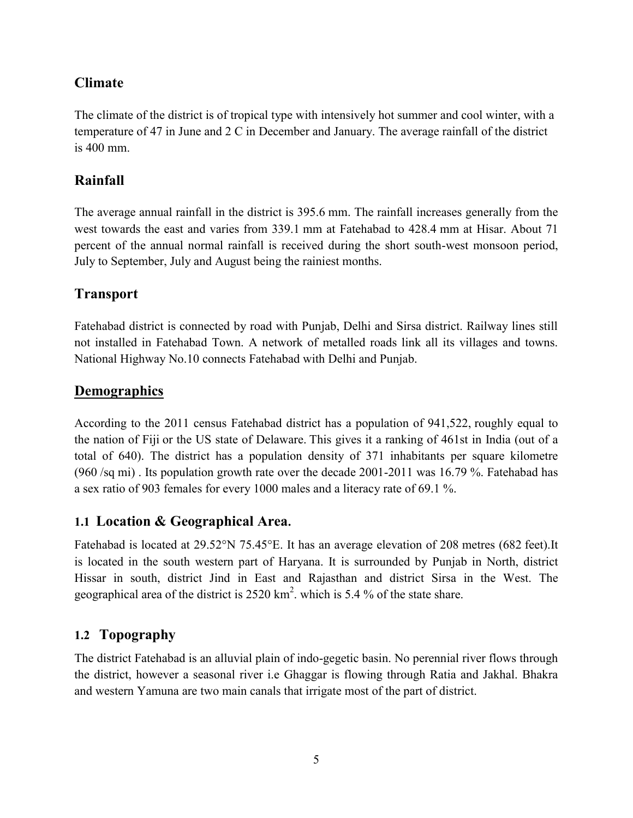# **Climate**

The climate of the district is of tropical type with intensively hot summer and cool winter, with a temperature of 47 in June and 2 C in December and January. The average rainfall of the district is 400 mm.

# **Rainfall**

The average annual rainfall in the district is 395.6 mm. The rainfall increases generally from the west towards the east and varies from 339.1 mm at Fatehabad to 428.4 mm at Hisar. About 71 percent of the annual normal rainfall is received during the short south-west monsoon period, July to September, July and August being the rainiest months.

# **Transport**

Fatehabad district is connected by road with Punjab, Delhi and Sirsa district. Railway lines still not installed in Fatehabad Town. A network of metalled roads link all its villages and towns. National Highway No.10 connects Fatehabad with Delhi and Punjab.

# **Demographics**

According to the [2011 census](http://en.wikipedia.org/wiki/2011_census_of_India) Fatehabad district has a [population](http://en.wikipedia.org/wiki/Demographics_of_India) of 941,522, roughly equal to the nation of [Fiji](http://en.wikipedia.org/wiki/Fiji) or the US state of [Delaware.](http://en.wikipedia.org/wiki/Delaware) This gives it a ranking of 461st in India (out of a total of [640\)](http://en.wikipedia.org/wiki/Districts_of_India). The district has a population density of 371 inhabitants per square kilometre (960 /sq mi) . Its [population growth rate](http://en.wikipedia.org/wiki/Family_planning_in_India) over the decade 2001-2011 was 16.79 %. Fatehabad has a [sex ratio](http://en.wikipedia.org/wiki/Sex_ratio) of 903 [females](http://en.wikipedia.org/wiki/Women_in_India) for every 1000 males and a [literacy rate](http://en.wikipedia.org/wiki/Literacy_in_India) of 69.1 %.

# **1.1 Location & Geographical Area.**

Fatehabad is located at [29.52°N 75.45°E.](http://toolserver.org/%7Egeohack/geohack.php?pagename=Fatehabad,_Haryana¶ms=29.52_N_75.45_E_) It has an average elevation of 208 metres (682 feet).It is located in the south western part of [Haryana.](http://en.wikipedia.org/wiki/Haryana) It is surrounded by [Punjab](http://en.wikipedia.org/wiki/Punjab_%28India%29) in North, district Hissar in south, district [Jind](http://en.wikipedia.org/wiki/Jind) in East and [Rajasthan](http://en.wikipedia.org/wiki/Rajasthan) and district [Sirsa](http://en.wikipedia.org/wiki/Sirsa_district) in the West. The geographical area of the district is  $2520 \text{ km}^2$ . which is 5.4 % of the state share.

# **1.2 Topography**

The district Fatehabad is an alluvial plain of indo-gegetic basin. No perennial river flows through the district, however a seasonal river i.e Ghaggar is flowing through Ratia and Jakhal. Bhakra and western Yamuna are two main canals that irrigate most of the part of district.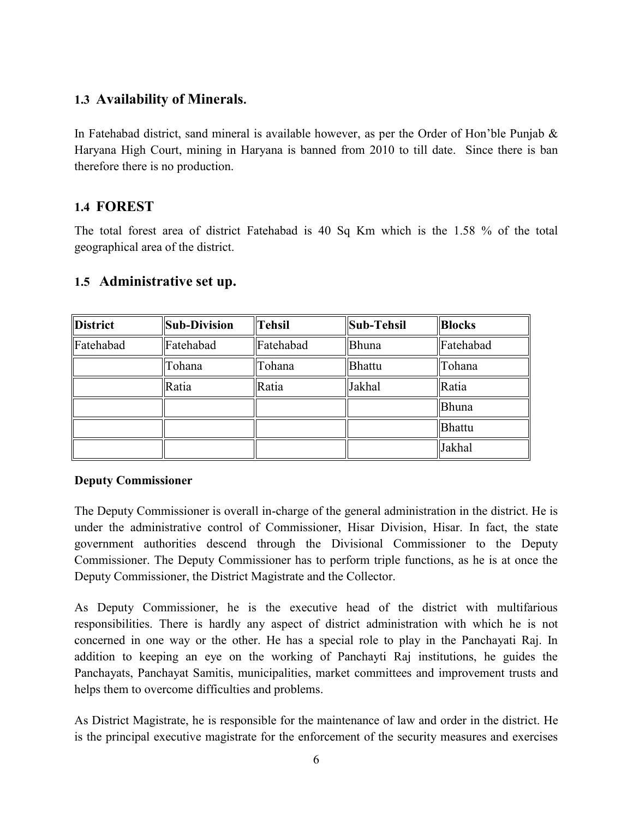## **1.3 Availability of Minerals.**

In Fatehabad district, sand mineral is available however, as per the Order of Hon'ble Punjab  $\&$ Haryana High Court, mining in Haryana is banned from 2010 to till date. Since there is ban therefore there is no production.

## **1.4 FOREST**

The total forest area of district Fatehabad is 40 Sq Km which is the 1.58 % of the total geographical area of the district.

#### **1.5 Administrative set up.**

| <b>District</b> | Sub-Division | <b>Tehsil</b> | <b>Sub-Tehsil</b> | <b>Blocks</b> |
|-----------------|--------------|---------------|-------------------|---------------|
| Fatehabad       | Fatehabad    | Fatehabad     | Bhuna             | Fatehabad     |
|                 | Tohana       | Tohana        | Bhattu            | Tohana        |
|                 | Ratia        | Ratia         | Jakhal            | Ratia         |
|                 |              |               |                   | Bhuna         |
|                 |              |               |                   | Bhattu        |
|                 |              |               |                   | Jakhal        |

#### **Deputy Commissioner**

The Deputy Commissioner is overall in-charge of the general administration in the district. He is under the administrative control of Commissioner, Hisar Division, Hisar. In fact, the state government authorities descend through the Divisional Commissioner to the Deputy Commissioner. The Deputy Commissioner has to perform triple functions, as he is at once the Deputy Commissioner, the District Magistrate and the Collector.

As Deputy Commissioner, he is the executive head of the district with multifarious responsibilities. There is hardly any aspect of district administration with which he is not concerned in one way or the other. He has a special role to play in the Panchayati Raj. In addition to keeping an eye on the working of Panchayti Raj institutions, he guides the Panchayats, Panchayat Samitis, municipalities, market committees and improvement trusts and helps them to overcome difficulties and problems.

As District Magistrate, he is responsible for the maintenance of law and order in the district. He is the principal executive magistrate for the enforcement of the security measures and exercises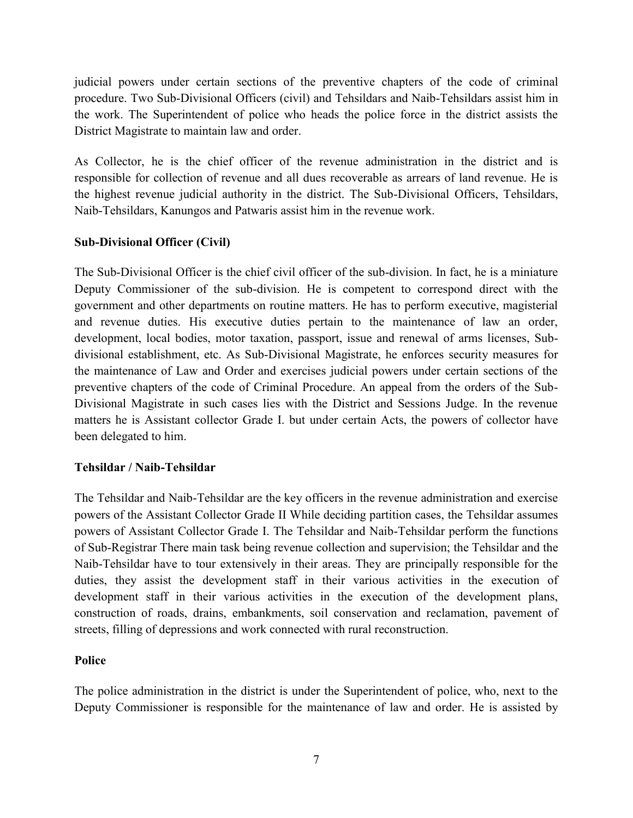judicial powers under certain sections of the preventive chapters of the code of criminal procedure. Two Sub-Divisional Officers (civil) and Tehsildars and Naib-Tehsildars assist him in the work. The Superintendent of police who heads the police force in the district assists the District Magistrate to maintain law and order.

As Collector, he is the chief officer of the revenue administration in the district and is responsible for collection of revenue and all dues recoverable as arrears of land revenue. He is the highest revenue judicial authority in the district. The Sub-Divisional Officers, Tehsildars, Naib-Tehsildars, Kanungos and Patwaris assist him in the revenue work.

#### **Sub-Divisional Officer (Civil)**

The Sub-Divisional Officer is the chief civil officer of the sub-division. In fact, he is a miniature Deputy Commissioner of the sub-division. He is competent to correspond direct with the government and other departments on routine matters. He has to perform executive, magisterial and revenue duties. His executive duties pertain to the maintenance of law an order, development, local bodies, motor taxation, passport, issue and renewal of arms licenses, Subdivisional establishment, etc. As Sub-Divisional Magistrate, he enforces security measures for the maintenance of Law and Order and exercises judicial powers under certain sections of the preventive chapters of the code of Criminal Procedure. An appeal from the orders of the Sub-Divisional Magistrate in such cases lies with the District and Sessions Judge. In the revenue matters he is Assistant collector Grade I. but under certain Acts, the powers of collector have been delegated to him.

#### **Tehsildar / Naib-Tehsildar**

The Tehsildar and Naib-Tehsildar are the key officers in the revenue administration and exercise powers of the Assistant Collector Grade II While deciding partition cases, the Tehsildar assumes powers of Assistant Collector Grade I. The Tehsildar and Naib-Tehsildar perform the functions of Sub-Registrar There main task being revenue collection and supervision; the Tehsildar and the Naib-Tehsildar have to tour extensively in their areas. They are principally responsible for the duties, they assist the development staff in their various activities in the execution of development staff in their various activities in the execution of the development plans, construction of roads, drains, embankments, soil conservation and reclamation, pavement of streets, filling of depressions and work connected with rural reconstruction.

#### **Police**

The police administration in the district is under the Superintendent of police, who, next to the Deputy Commissioner is responsible for the maintenance of law and order. He is assisted by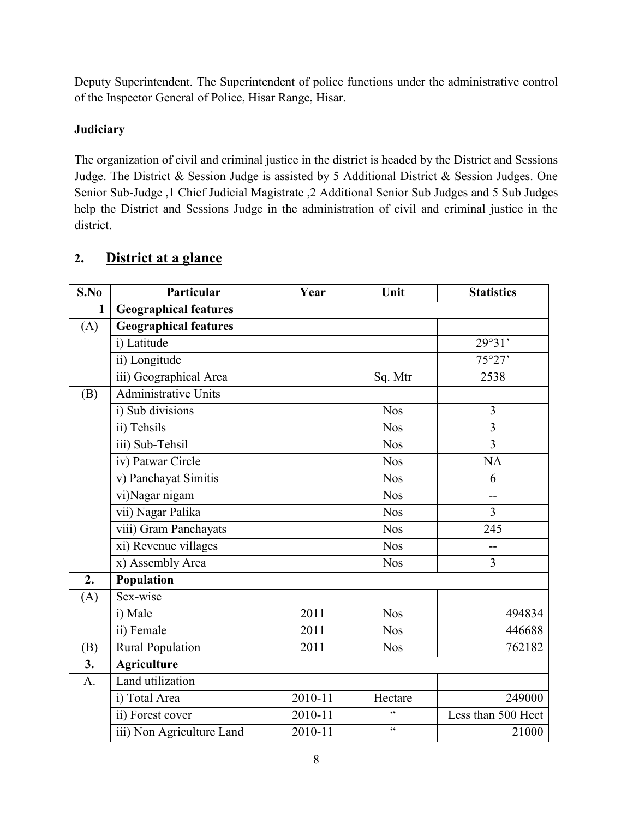Deputy Superintendent. The Superintendent of police functions under the administrative control of the Inspector General of Police, Hisar Range, Hisar.

#### **Judiciary**

The organization of civil and criminal justice in the district is headed by the District and Sessions Judge. The District & Session Judge is assisted by 5 Additional District & Session Judges. One Senior Sub-Judge ,1 Chief Judicial Magistrate ,2 Additional Senior Sub Judges and 5 Sub Judges help the District and Sessions Judge in the administration of civil and criminal justice in the district.

| S.No             | Particular                   | Year        | Unit       | <b>Statistics</b>  |
|------------------|------------------------------|-------------|------------|--------------------|
| 1                | <b>Geographical features</b> |             |            |                    |
| (A)              | <b>Geographical features</b> |             |            |                    |
|                  | i) Latitude                  |             |            | 29°31'             |
|                  | ii) Longitude                |             |            | 75°27'             |
|                  | iii) Geographical Area       |             | Sq. Mtr    | 2538               |
| (B)              | Administrative Units         |             |            |                    |
|                  | i) Sub divisions             |             | <b>Nos</b> | 3                  |
|                  | ii) Tehsils                  |             | <b>Nos</b> | $\overline{3}$     |
|                  | iii) Sub-Tehsil              |             | <b>Nos</b> | 3                  |
|                  | iv) Patwar Circle            |             | <b>Nos</b> | <b>NA</b>          |
|                  | v) Panchayat Simitis         |             | <b>Nos</b> | 6                  |
|                  | vi)Nagar nigam               |             | <b>Nos</b> | --                 |
|                  | vii) Nagar Palika            |             | <b>Nos</b> | 3                  |
|                  | viii) Gram Panchayats        |             | <b>Nos</b> | 245                |
|                  | xi) Revenue villages         |             | <b>Nos</b> |                    |
|                  | x) Assembly Area             |             | <b>Nos</b> | 3                  |
| 2.               | Population                   |             |            |                    |
| (A)              | Sex-wise                     |             |            |                    |
|                  | i) Male                      | 2011        | <b>Nos</b> | 494834             |
|                  | ii) Female                   | 2011        | <b>Nos</b> | 446688             |
| (B)              | <b>Rural Population</b>      | 2011        | <b>Nos</b> | 762182             |
| $\overline{3}$ . | <b>Agriculture</b>           |             |            |                    |
| $\mathbf{A}$ .   | Land utilization             |             |            |                    |
|                  | i) Total Area                | $2010 - 11$ | Hectare    | 249000             |
|                  | ii) Forest cover             | $2010 - 11$ | $\epsilon$ | Less than 500 Hect |
|                  | iii) Non Agriculture Land    | $2010 - 11$ | $\epsilon$ | 21000              |

# **2. District at a glance**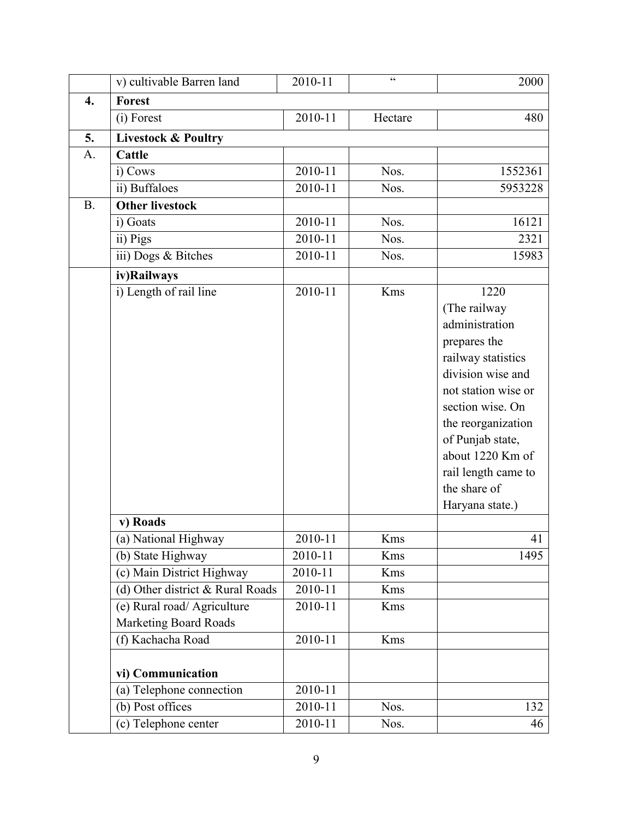|           | v) cultivable Barren land                                     | 2010-11            | $\zeta\,\zeta$ | 2000                                                                                                                                                                                                                                                                 |
|-----------|---------------------------------------------------------------|--------------------|----------------|----------------------------------------------------------------------------------------------------------------------------------------------------------------------------------------------------------------------------------------------------------------------|
| 4.        | <b>Forest</b>                                                 |                    |                |                                                                                                                                                                                                                                                                      |
|           | (i) Forest                                                    | 2010-11            | Hectare        | 480                                                                                                                                                                                                                                                                  |
| 5.        | <b>Livestock &amp; Poultry</b>                                |                    |                |                                                                                                                                                                                                                                                                      |
| A.        | Cattle                                                        |                    |                |                                                                                                                                                                                                                                                                      |
|           | i) Cows                                                       | 2010-11            | Nos.           | 1552361                                                                                                                                                                                                                                                              |
|           | ii) Buffaloes                                                 | 2010-11            | Nos.           | 5953228                                                                                                                                                                                                                                                              |
| <b>B.</b> | <b>Other livestock</b>                                        |                    |                |                                                                                                                                                                                                                                                                      |
|           | i) Goats                                                      | 2010-11            | Nos.           | 16121                                                                                                                                                                                                                                                                |
|           | ii) Pigs                                                      | 2010-11            | Nos.           | 2321                                                                                                                                                                                                                                                                 |
|           | iii) Dogs & Bitches                                           | 2010-11            | Nos.           | 15983                                                                                                                                                                                                                                                                |
|           | iv)Railways                                                   |                    |                |                                                                                                                                                                                                                                                                      |
|           | i) Length of rail line                                        | 2010-11            | Kms            | 1220<br>(The railway<br>administration<br>prepares the<br>railway statistics<br>division wise and<br>not station wise or<br>section wise. On<br>the reorganization<br>of Punjab state,<br>about 1220 Km of<br>rail length came to<br>the share of<br>Haryana state.) |
|           | v) Roads                                                      |                    |                |                                                                                                                                                                                                                                                                      |
|           | (a) National Highway                                          | 2010-11            | Kms            | 41                                                                                                                                                                                                                                                                   |
|           | (b) State Highway                                             | 2010-11            | Kms            | 1495                                                                                                                                                                                                                                                                 |
|           | (c) Main District Highway<br>(d) Other district & Rural Roads | 2010-11            | Kms            |                                                                                                                                                                                                                                                                      |
|           | (e) Rural road/ Agriculture                                   | 2010-11<br>2010-11 | Kms<br>Kms     |                                                                                                                                                                                                                                                                      |
|           | <b>Marketing Board Roads</b>                                  |                    |                |                                                                                                                                                                                                                                                                      |
|           | (f) Kachacha Road                                             | 2010-11            | Kms            |                                                                                                                                                                                                                                                                      |
|           |                                                               |                    |                |                                                                                                                                                                                                                                                                      |
|           | vi) Communication                                             |                    |                |                                                                                                                                                                                                                                                                      |
|           | (a) Telephone connection                                      | 2010-11            |                |                                                                                                                                                                                                                                                                      |
|           | (b) Post offices                                              | 2010-11            | Nos.           | 132                                                                                                                                                                                                                                                                  |
|           | (c) Telephone center                                          | 2010-11            | Nos.           | 46                                                                                                                                                                                                                                                                   |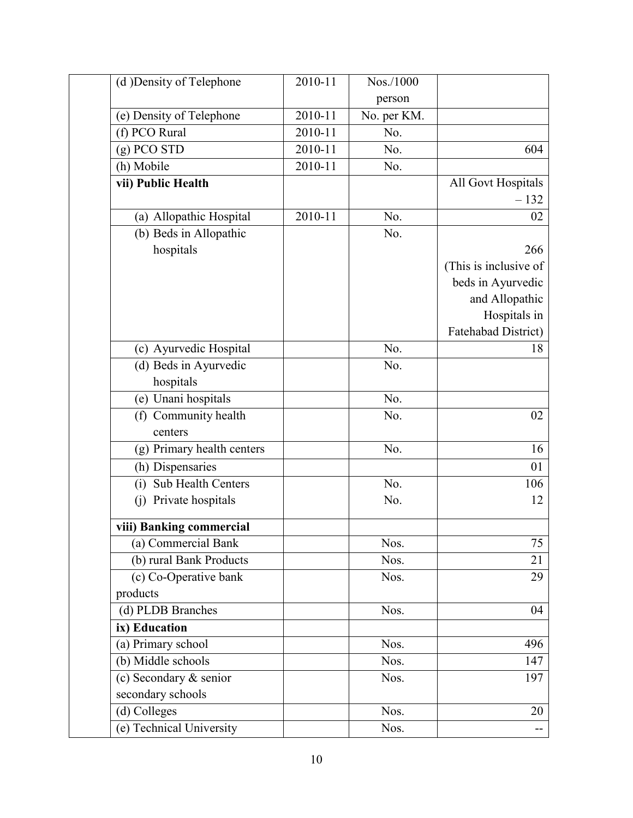| (d) Density of Telephone   | 2010-11 | Nos./1000   |                       |
|----------------------------|---------|-------------|-----------------------|
|                            |         | person      |                       |
| (e) Density of Telephone   | 2010-11 | No. per KM. |                       |
| (f) PCO Rural              | 2010-11 | No.         |                       |
| $(g)$ PCO STD              | 2010-11 | No.         | 604                   |
| (h) Mobile                 | 2010-11 | No.         |                       |
| vii) Public Health         |         |             | All Govt Hospitals    |
|                            |         |             | $-132$                |
| (a) Allopathic Hospital    | 2010-11 | No.         | 02                    |
| (b) Beds in Allopathic     |         | No.         |                       |
| hospitals                  |         |             | 266                   |
|                            |         |             | (This is inclusive of |
|                            |         |             | beds in Ayurvedic     |
|                            |         |             | and Allopathic        |
|                            |         |             | Hospitals in          |
|                            |         |             | Fatehabad District)   |
| (c) Ayurvedic Hospital     |         | No.         | 18                    |
| (d) Beds in Ayurvedic      |         | No.         |                       |
| hospitals                  |         |             |                       |
| (e) Unani hospitals        |         | No.         |                       |
| (f) Community health       |         | No.         | 02                    |
| centers                    |         |             |                       |
| (g) Primary health centers |         | No.         | 16                    |
| (h) Dispensaries           |         |             | 01                    |
| (i) Sub Health Centers     |         | No.         | 106                   |
| (j) Private hospitals      |         | No.         | 12                    |
| viii) Banking commercial   |         |             |                       |
| (a) Commercial Bank        |         | Nos.        | 75                    |
| (b) rural Bank Products    |         | Nos.        | 21                    |
| $(c)$ Co-Operative bank    |         | Nos.        | 29                    |
| products                   |         |             |                       |
| (d) PLDB Branches          |         | Nos.        | 04                    |
| ix) Education              |         |             |                       |
| (a) Primary school         |         | Nos.        | 496                   |
| (b) Middle schools         |         | Nos.        | 147                   |
| (c) Secondary & senior     |         | Nos.        | 197                   |
| secondary schools          |         |             |                       |
| (d) Colleges               |         | Nos.        | 20                    |
| (e) Technical University   |         | Nos.        | --                    |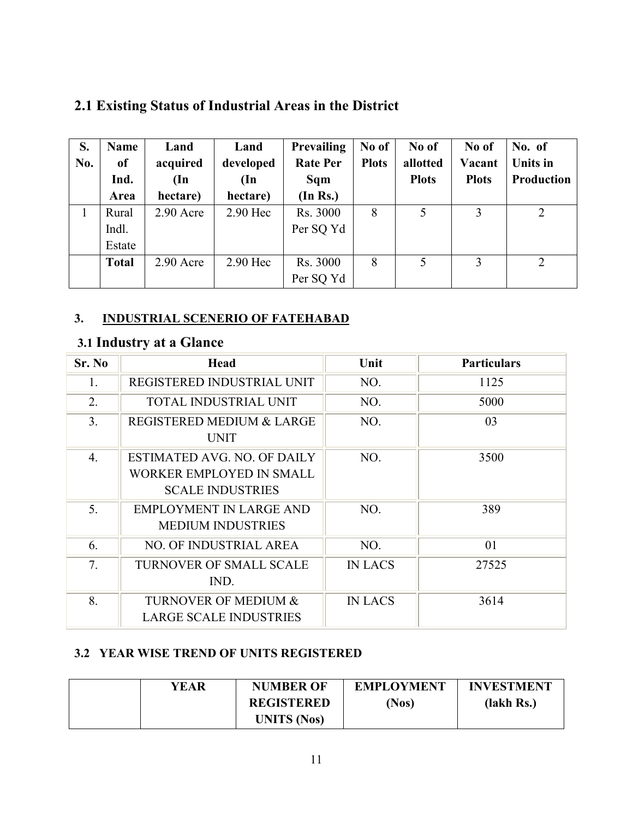# **2.1 Existing Status of Industrial Areas in the District**

| S.  | <b>Name</b>  | Land          | Land          | Prevailing      | No of        | No of        | No of        | No. of     |
|-----|--------------|---------------|---------------|-----------------|--------------|--------------|--------------|------------|
| No. | of           | acquired      | developed     | <b>Rate Per</b> | <b>Plots</b> | allotted     | Vacant       | Units in   |
|     | Ind.         | $(\text{In})$ | $(\text{In})$ | Sqm             |              | <b>Plots</b> | <b>Plots</b> | Production |
|     | Area         | hectare)      | hectare)      | (In Rs.)        |              |              |              |            |
|     | Rural        | $2.90$ Acre   | 2.90 Hec      | Rs. 3000        | 8            |              | 3            | 2          |
|     | Indl.        |               |               | Per SQ Yd       |              |              |              |            |
|     | Estate       |               |               |                 |              |              |              |            |
|     | <b>Total</b> | $2.90$ Acre   | 2.90 Hec      | Rs. 3000        | 8            | 5            | 3            | 2          |
|     |              |               |               | Per SQ Yd       |              |              |              |            |

#### **3. INDUSTRIAL SCENERIO OF FATEHABAD**

# **3.1 Industry at a Glance**

| Sr. No         | <b>Head</b>                                                                        | Unit           | <b>Particulars</b> |
|----------------|------------------------------------------------------------------------------------|----------------|--------------------|
| 1.             | REGISTERED INDUSTRIAL UNIT                                                         | NO.            | 1125               |
| 2.             | TOTAL INDUSTRIAL UNIT                                                              | NO.            | 5000               |
| 3 <sub>1</sub> | <b>REGISTERED MEDIUM &amp; LARGE</b><br><b>UNIT</b>                                | NO.            | 03                 |
| 4.             | ESTIMATED AVG. NO. OF DAILY<br>WORKER EMPLOYED IN SMALL<br><b>SCALE INDUSTRIES</b> | NO.            | 3500               |
| 5.             | <b>EMPLOYMENT IN LARGE AND</b><br><b>MEDIUM INDUSTRIES</b>                         | NO.            | 389                |
| 6.             | <b>NO. OF INDUSTRIAL AREA</b>                                                      | NO.            | 01                 |
| 7.             | <b>TURNOVER OF SMALL SCALE</b><br>IND.                                             | <b>IN LACS</b> | 27525              |
| 8.             | TURNOVER OF MEDIUM &<br><b>LARGE SCALE INDUSTRIES</b>                              | <b>IN LACS</b> | 3614               |

## **3.2 YEAR WISE TREND OF UNITS REGISTERED**

| YEAR | <b>NUMBER OF</b>   | <b>EMPLOYMENT</b> | <b>INVESTMENT</b> |
|------|--------------------|-------------------|-------------------|
|      | <b>REGISTERED</b>  | Nos)              | (lakh Rs.)        |
|      | <b>UNITS</b> (Nos) |                   |                   |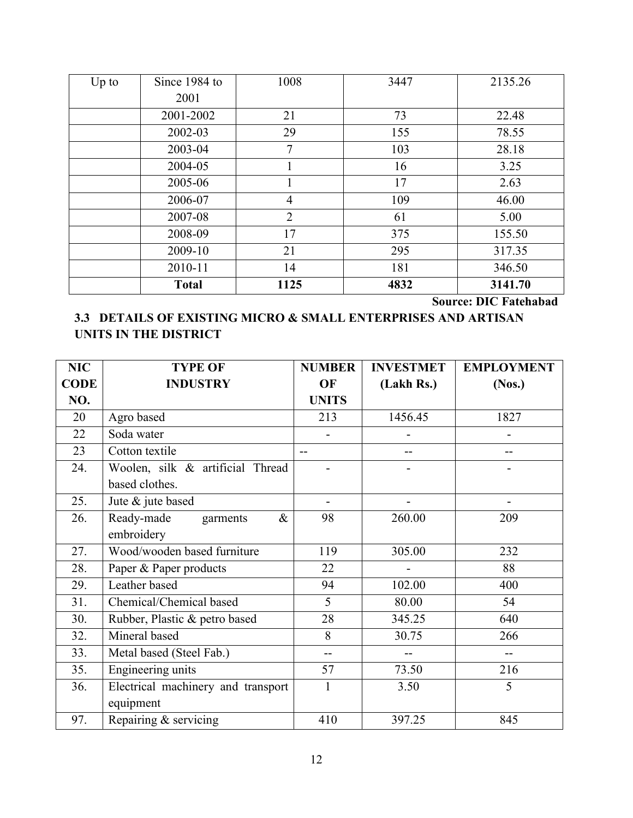| $Up$ to | Since 1984 to | 1008           | 3447 | 2135.26 |
|---------|---------------|----------------|------|---------|
|         | 2001          |                |      |         |
|         | 2001-2002     | 21             | 73   | 22.48   |
|         | 2002-03       | 29             | 155  | 78.55   |
|         | 2003-04       | 7              | 103  | 28.18   |
|         | 2004-05       |                | 16   | 3.25    |
|         | 2005-06       |                | 17   | 2.63    |
|         | 2006-07       | $\overline{4}$ | 109  | 46.00   |
|         | 2007-08       | $\overline{2}$ | 61   | 5.00    |
|         | 2008-09       | 17             | 375  | 155.50  |
|         | 2009-10       | 21             | 295  | 317.35  |
|         | 2010-11       | 14             | 181  | 346.50  |
|         | <b>Total</b>  | 1125           | 4832 | 3141.70 |

**Source: DIC Fatehabad** 

#### **3.3 DETAILS OF EXISTING MICRO & SMALL ENTERPRISES AND ARTISAN UNITS IN THE DISTRICT**

| <b>NIC</b>  | <b>TYPE OF</b>                     | <b>NUMBER</b> | <b>INVESTMET</b> | <b>EMPLOYMENT</b> |
|-------------|------------------------------------|---------------|------------------|-------------------|
| <b>CODE</b> | <b>INDUSTRY</b>                    | OF            | (Lakh Rs.)       | (Nos.)            |
| NO.         |                                    | <b>UNITS</b>  |                  |                   |
| 20          | Agro based                         | 213           | 1456.45          | 1827              |
| 22          | Soda water                         |               |                  |                   |
| 23          | Cotton textile                     |               |                  |                   |
| 24.         | Woolen, silk & artificial Thread   |               |                  |                   |
|             | based clothes.                     |               |                  |                   |
| 25.         | Jute & jute based                  |               |                  |                   |
| 26.         | Ready-made<br>garments<br>$\&$     | 98            | 260.00           | 209               |
|             | embroidery                         |               |                  |                   |
| 27.         | Wood/wooden based furniture        | 119           | 305.00           | 232               |
| 28.         | Paper & Paper products             | 22            |                  | 88                |
| 29.         | Leather based                      | 94            | 102.00           | 400               |
| 31.         | Chemical/Chemical based            | 5             | 80.00            | 54                |
| 30.         | Rubber, Plastic & petro based      | 28            | 345.25           | 640               |
| 32.         | Mineral based                      | 8             | 30.75            | 266               |
| 33.         | Metal based (Steel Fab.)           | --            |                  |                   |
| 35.         | Engineering units                  | 57            | 73.50            | 216               |
| 36.         | Electrical machinery and transport | $\mathbf{1}$  | 3.50             | 5                 |
|             | equipment                          |               |                  |                   |
| 97.         | Repairing & servicing              | 410           | 397.25           | 845               |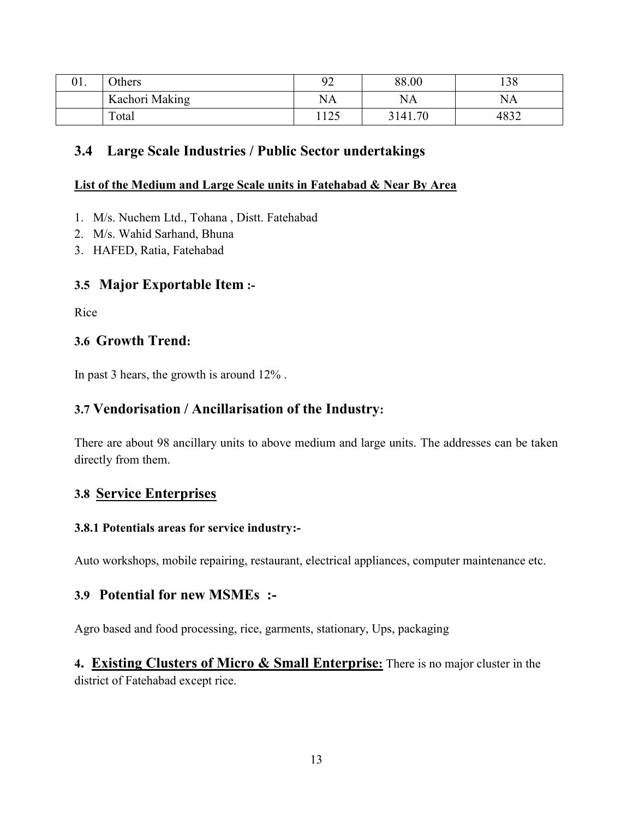| Λ1<br>UI. | <b>Others</b>  | იე<br>7∠ | 88.00       | 138  |
|-----------|----------------|----------|-------------|------|
|           | Kachori Making | NA       | <b>NA</b>   | NA   |
|           | Total          | 125      | .70<br>3141 | 4832 |

#### **3.4 Large Scale Industries / Public Sector undertakings**

#### **List of the Medium and Large Scale units in Fatehabad & Near By Area**

- 1. M/s. Nuchem Ltd., Tohana , Distt. Fatehabad
- 2. M/s. Wahid Sarhand, Bhuna
- 3. HAFED, Ratia, Fatehabad

#### **3.5 Major Exportable Item :-**

Rice

#### **3.6 Growth Trend:**

In past 3 hears, the growth is around 12% .

#### **3.7 Vendorisation / Ancillarisation of the Industry:**

There are about 98 ancillary units to above medium and large units. The addresses can be taken directly from them.

#### **3.8 Service Enterprises**

#### **3.8.1 Potentials areas for service industry:-**

Auto workshops, mobile repairing, restaurant, electrical appliances, computer maintenance etc.

#### **3.9 Potential for new MSMEs :-**

Agro based and food processing, rice, garments, stationary, Ups, packaging

**4. Existing Clusters of Micro & Small Enterprise:** There is no major cluster in the district of Fatehabad except rice.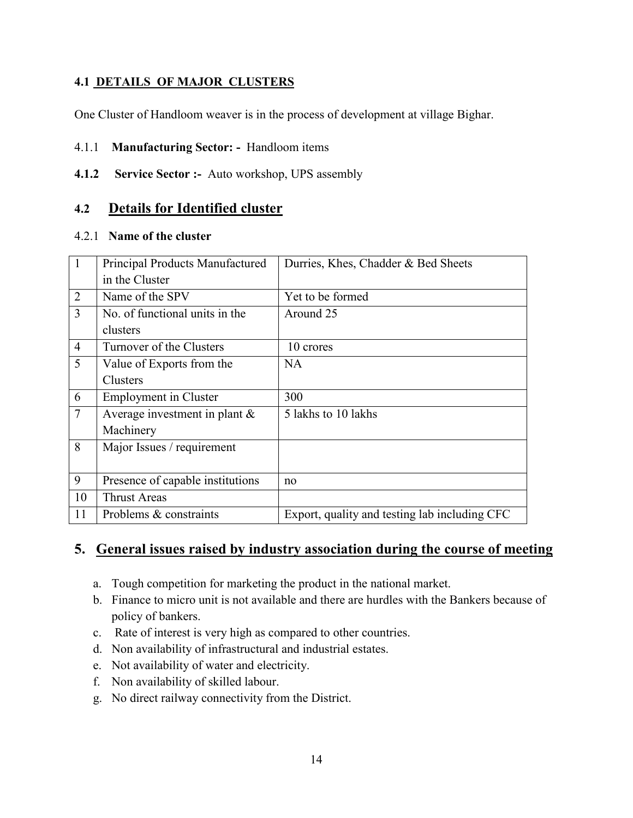#### **4.1 DETAILS OF MAJOR CLUSTERS**

One Cluster of Handloom weaver is in the process of development at village Bighar.

#### 4.1.1 **Manufacturing Sector: -** Handloom items

**4.1.2 Service Sector :-** Auto workshop, UPS assembly

#### **4.2 Details for Identified cluster**

#### 4.2.1 **Name of the cluster**

|                 | Principal Products Manufactured  | Durries, Khes, Chadder & Bed Sheets           |
|-----------------|----------------------------------|-----------------------------------------------|
|                 | in the Cluster                   |                                               |
| 2               | Name of the SPV                  | Yet to be formed                              |
| 3               | No. of functional units in the   | Around 25                                     |
|                 | clusters                         |                                               |
| $\overline{4}$  | Turnover of the Clusters         | 10 crores                                     |
| 5               | Value of Exports from the        | <b>NA</b>                                     |
|                 | Clusters                         |                                               |
| 6               | <b>Employment</b> in Cluster     | 300                                           |
| $7\phantom{.0}$ | Average investment in plant $\&$ | 5 lakhs to 10 lakhs                           |
|                 | Machinery                        |                                               |
| 8               | Major Issues / requirement       |                                               |
|                 |                                  |                                               |
| 9               | Presence of capable institutions | no                                            |
| 10              | <b>Thrust Areas</b>              |                                               |
| 11              | Problems & constraints           | Export, quality and testing lab including CFC |

## **5. General issues raised by industry association during the course of meeting**

- a. Tough competition for marketing the product in the national market.
- b. Finance to micro unit is not available and there are hurdles with the Bankers because of policy of bankers.
- c. Rate of interest is very high as compared to other countries.
- d. Non availability of infrastructural and industrial estates.
- e. Not availability of water and electricity.
- f. Non availability of skilled labour.
- g. No direct railway connectivity from the District.